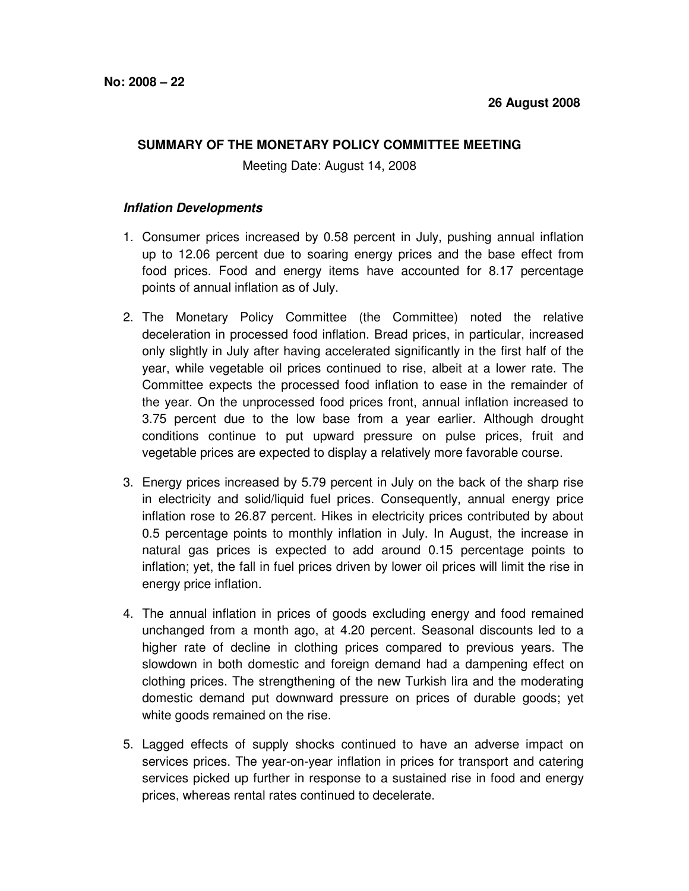## **SUMMARY OF THE MONETARY POLICY COMMITTEE MEETING**

Meeting Date: August 14, 2008

## **Inflation Developments**

- 1. Consumer prices increased by 0.58 percent in July, pushing annual inflation up to 12.06 percent due to soaring energy prices and the base effect from food prices. Food and energy items have accounted for 8.17 percentage points of annual inflation as of July.
- 2. The Monetary Policy Committee (the Committee) noted the relative deceleration in processed food inflation. Bread prices, in particular, increased only slightly in July after having accelerated significantly in the first half of the year, while vegetable oil prices continued to rise, albeit at a lower rate. The Committee expects the processed food inflation to ease in the remainder of the year. On the unprocessed food prices front, annual inflation increased to 3.75 percent due to the low base from a year earlier. Although drought conditions continue to put upward pressure on pulse prices, fruit and vegetable prices are expected to display a relatively more favorable course.
- 3. Energy prices increased by 5.79 percent in July on the back of the sharp rise in electricity and solid/liquid fuel prices. Consequently, annual energy price inflation rose to 26.87 percent. Hikes in electricity prices contributed by about 0.5 percentage points to monthly inflation in July. In August, the increase in natural gas prices is expected to add around 0.15 percentage points to inflation; yet, the fall in fuel prices driven by lower oil prices will limit the rise in energy price inflation.
- 4. The annual inflation in prices of goods excluding energy and food remained unchanged from a month ago, at 4.20 percent. Seasonal discounts led to a higher rate of decline in clothing prices compared to previous years. The slowdown in both domestic and foreign demand had a dampening effect on clothing prices. The strengthening of the new Turkish lira and the moderating domestic demand put downward pressure on prices of durable goods; yet white goods remained on the rise.
- 5. Lagged effects of supply shocks continued to have an adverse impact on services prices. The year-on-year inflation in prices for transport and catering services picked up further in response to a sustained rise in food and energy prices, whereas rental rates continued to decelerate.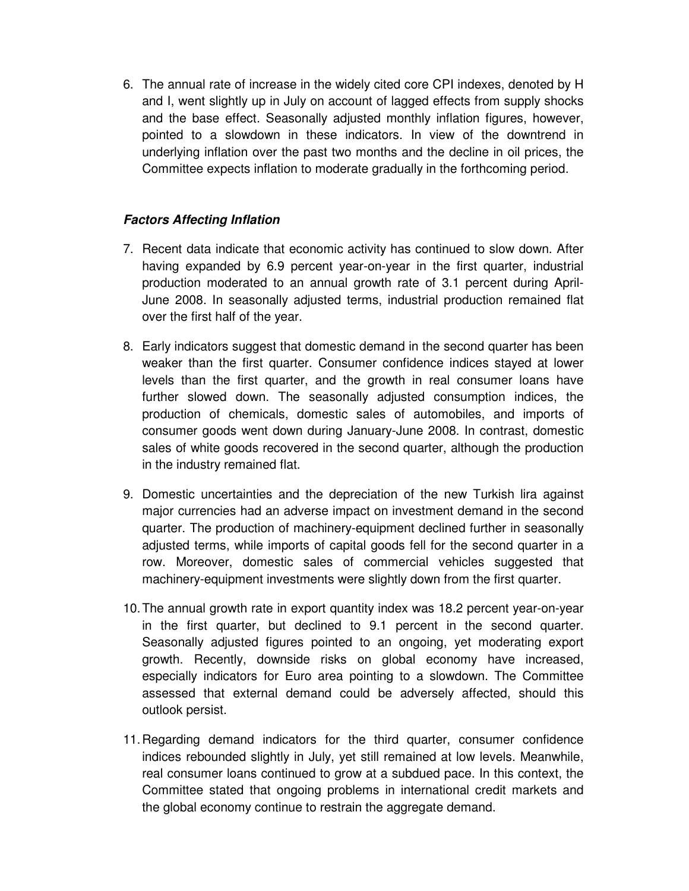6. The annual rate of increase in the widely cited core CPI indexes, denoted by H and I, went slightly up in July on account of lagged effects from supply shocks and the base effect. Seasonally adjusted monthly inflation figures, however, pointed to a slowdown in these indicators. In view of the downtrend in underlying inflation over the past two months and the decline in oil prices, the Committee expects inflation to moderate gradually in the forthcoming period.

## **Factors Affecting Inflation**

- 7. Recent data indicate that economic activity has continued to slow down. After having expanded by 6.9 percent year-on-year in the first quarter, industrial production moderated to an annual growth rate of 3.1 percent during April-June 2008. In seasonally adjusted terms, industrial production remained flat over the first half of the year.
- 8. Early indicators suggest that domestic demand in the second quarter has been weaker than the first quarter. Consumer confidence indices stayed at lower levels than the first quarter, and the growth in real consumer loans have further slowed down. The seasonally adjusted consumption indices, the production of chemicals, domestic sales of automobiles, and imports of consumer goods went down during January-June 2008. In contrast, domestic sales of white goods recovered in the second quarter, although the production in the industry remained flat.
- 9. Domestic uncertainties and the depreciation of the new Turkish lira against major currencies had an adverse impact on investment demand in the second quarter. The production of machinery-equipment declined further in seasonally adjusted terms, while imports of capital goods fell for the second quarter in a row. Moreover, domestic sales of commercial vehicles suggested that machinery-equipment investments were slightly down from the first quarter.
- 10. The annual growth rate in export quantity index was 18.2 percent year-on-year in the first quarter, but declined to 9.1 percent in the second quarter. Seasonally adjusted figures pointed to an ongoing, yet moderating export growth. Recently, downside risks on global economy have increased, especially indicators for Euro area pointing to a slowdown. The Committee assessed that external demand could be adversely affected, should this outlook persist.
- 11. Regarding demand indicators for the third quarter, consumer confidence indices rebounded slightly in July, yet still remained at low levels. Meanwhile, real consumer loans continued to grow at a subdued pace. In this context, the Committee stated that ongoing problems in international credit markets and the global economy continue to restrain the aggregate demand.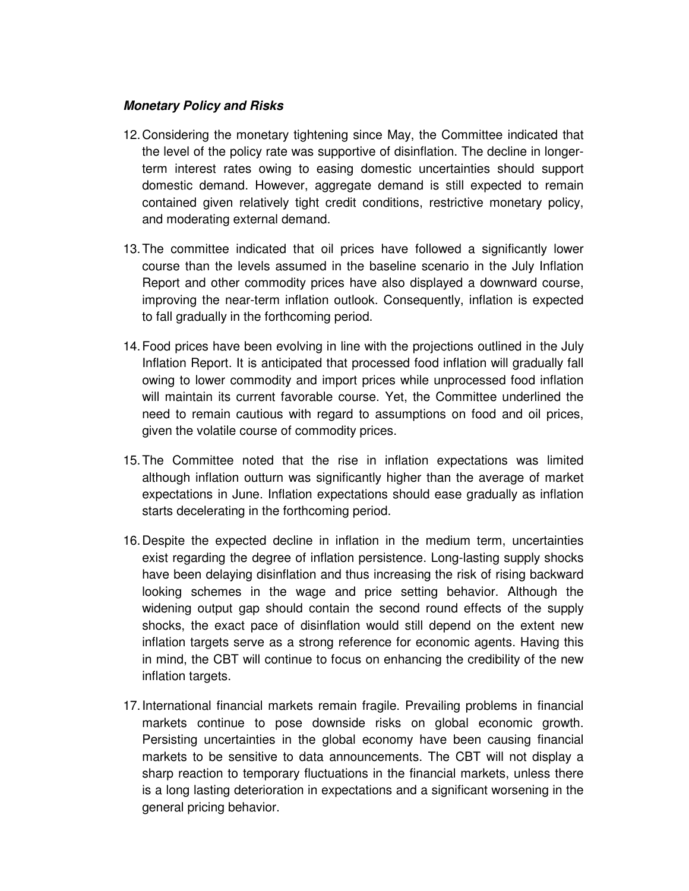## **Monetary Policy and Risks**

- 12. Considering the monetary tightening since May, the Committee indicated that the level of the policy rate was supportive of disinflation. The decline in longerterm interest rates owing to easing domestic uncertainties should support domestic demand. However, aggregate demand is still expected to remain contained given relatively tight credit conditions, restrictive monetary policy, and moderating external demand.
- 13. The committee indicated that oil prices have followed a significantly lower course than the levels assumed in the baseline scenario in the July Inflation Report and other commodity prices have also displayed a downward course, improving the near-term inflation outlook. Consequently, inflation is expected to fall gradually in the forthcoming period.
- 14. Food prices have been evolving in line with the projections outlined in the July Inflation Report. It is anticipated that processed food inflation will gradually fall owing to lower commodity and import prices while unprocessed food inflation will maintain its current favorable course. Yet, the Committee underlined the need to remain cautious with regard to assumptions on food and oil prices, given the volatile course of commodity prices.
- 15. The Committee noted that the rise in inflation expectations was limited although inflation outturn was significantly higher than the average of market expectations in June. Inflation expectations should ease gradually as inflation starts decelerating in the forthcoming period.
- 16. Despite the expected decline in inflation in the medium term, uncertainties exist regarding the degree of inflation persistence. Long-lasting supply shocks have been delaying disinflation and thus increasing the risk of rising backward looking schemes in the wage and price setting behavior. Although the widening output gap should contain the second round effects of the supply shocks, the exact pace of disinflation would still depend on the extent new inflation targets serve as a strong reference for economic agents. Having this in mind, the CBT will continue to focus on enhancing the credibility of the new inflation targets.
- 17. International financial markets remain fragile. Prevailing problems in financial markets continue to pose downside risks on global economic growth. Persisting uncertainties in the global economy have been causing financial markets to be sensitive to data announcements. The CBT will not display a sharp reaction to temporary fluctuations in the financial markets, unless there is a long lasting deterioration in expectations and a significant worsening in the general pricing behavior.